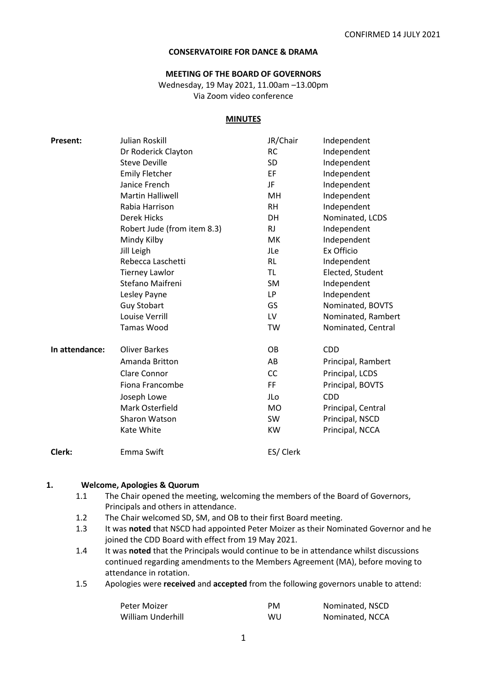#### **CONSERVATOIRE FOR DANCE & DRAMA**

#### **MEETING OF THE BOARD OF GOVERNORS**

Wednesday, 19 May 2021, 11.00am –13.00pm Via Zoom video conference

#### **MINUTES**

| <b>Present:</b> | Julian Roskill              | JR/Chair  | Independent        |
|-----------------|-----------------------------|-----------|--------------------|
|                 | Dr Roderick Clayton         | <b>RC</b> | Independent        |
|                 | <b>Steve Deville</b>        | SD        | Independent        |
|                 | <b>Emily Fletcher</b>       | EF        | Independent        |
|                 | Janice French               | JF        | Independent        |
|                 | <b>Martin Halliwell</b>     | <b>MH</b> | Independent        |
|                 | Rabia Harrison              | <b>RH</b> | Independent        |
|                 | Derek Hicks                 | DH        | Nominated, LCDS    |
|                 | Robert Jude (from item 8.3) | <b>RJ</b> | Independent        |
|                 | Mindy Kilby                 | МK        | Independent        |
|                 | Jill Leigh                  | JLe       | Ex Officio         |
|                 | Rebecca Laschetti           | <b>RL</b> | Independent        |
|                 | <b>Tierney Lawlor</b>       | TL        | Elected, Student   |
|                 | Stefano Maifreni            | <b>SM</b> | Independent        |
|                 | Lesley Payne                | LP.       | Independent        |
|                 | <b>Guy Stobart</b>          | GS        | Nominated, BOVTS   |
|                 | Louise Verrill              | LV        | Nominated, Rambert |
|                 | <b>Tamas Wood</b>           | TW        | Nominated, Central |
| In attendance:  | <b>Oliver Barkes</b>        | <b>OB</b> | <b>CDD</b>         |
|                 | Amanda Britton              | AB        | Principal, Rambert |
|                 | Clare Connor                | <b>CC</b> | Principal, LCDS    |
|                 | Fiona Francombe             | FF.       | Principal, BOVTS   |
|                 | Joseph Lowe                 | JLo       | <b>CDD</b>         |
|                 | Mark Osterfield             | <b>MO</b> | Principal, Central |
|                 | Sharon Watson               | <b>SW</b> | Principal, NSCD    |
|                 | Kate White                  | <b>KW</b> | Principal, NCCA    |
| Clerk:          | Emma Swift                  | ES/ Clerk |                    |
|                 |                             |           |                    |

#### **1. Welcome, Apologies & Quorum**

- 1.1 The Chair opened the meeting, welcoming the members of the Board of Governors, Principals and others in attendance.
- 1.2 The Chair welcomed SD, SM, and OB to their first Board meeting.
- 1.3 It was **noted** that NSCD had appointed Peter Moizer as their Nominated Governor and he joined the CDD Board with effect from 19 May 2021.
- 1.4 It was **noted** that the Principals would continue to be in attendance whilst discussions continued regarding amendments to the Members Agreement (MA), before moving to attendance in rotation.
- 1.5 Apologies were **received** and **accepted** from the following governors unable to attend:

| Peter Moizer      | <b>PM</b> | Nominated, NSCD |
|-------------------|-----------|-----------------|
| William Underhill | WU        | Nominated, NCCA |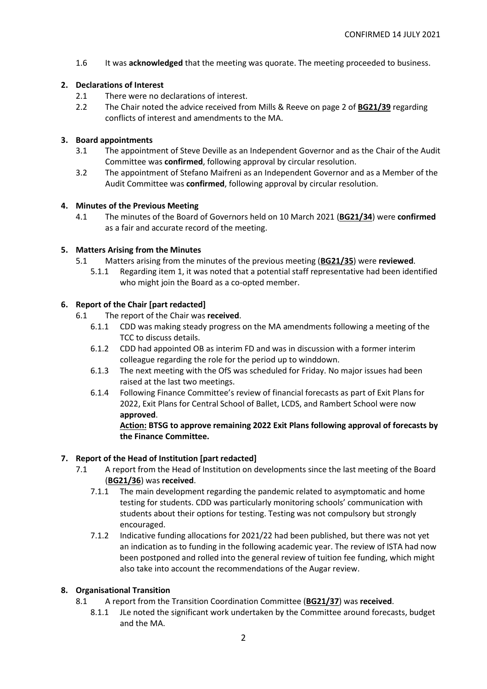1.6 It was **acknowledged** that the meeting was quorate. The meeting proceeded to business.

# **2. Declarations of Interest**

- 2.1 There were no declarations of interest.
- 2.2 The Chair noted the advice received from Mills & Reeve on page 2 of **BG21/39** regarding conflicts of interest and amendments to the MA.

# **3. Board appointments**

- 3.1 The appointment of Steve Deville as an Independent Governor and as the Chair of the Audit Committee was **confirmed**, following approval by circular resolution.
- 3.2 The appointment of Stefano Maifreni as an Independent Governor and as a Member of the Audit Committee was **confirmed**, following approval by circular resolution.

# **4. Minutes of the Previous Meeting**

4.1 The minutes of the Board of Governors held on 10 March 2021 (**BG21/34**) were **confirmed** as a fair and accurate record of the meeting.

# **5. Matters Arising from the Minutes**

- 5.1 Matters arising from the minutes of the previous meeting (**BG21/35**) were **reviewed**.
	- 5.1.1 Regarding item 1, it was noted that a potential staff representative had been identified who might join the Board as a co-opted member.

# **6. Report of the Chair [part redacted]**

- 6.1 The report of the Chair was **received**.
	- 6.1.1 CDD was making steady progress on the MA amendments following a meeting of the TCC to discuss details.
	- 6.1.2 CDD had appointed OB as interim FD and was in discussion with a former interim colleague regarding the role for the period up to winddown.
	- 6.1.3 The next meeting with the OfS was scheduled for Friday. No major issues had been raised at the last two meetings.
	- 6.1.4 Following Finance Committee's review of financial forecasts as part of Exit Plans for 2022, Exit Plans for Central School of Ballet, LCDS, and Rambert School were now **approved**.

# **Action: BTSG to approve remaining 2022 Exit Plans following approval of forecasts by the Finance Committee.**

# **7. Report of the Head of Institution [part redacted]**

- 7.1 A report from the Head of Institution on developments since the last meeting of the Board (**BG21/36**) was **received**.
	- 7.1.1 The main development regarding the pandemic related to asymptomatic and home testing for students. CDD was particularly monitoring schools' communication with students about their options for testing. Testing was not compulsory but strongly encouraged.
	- 7.1.2 Indicative funding allocations for 2021/22 had been published, but there was not yet an indication as to funding in the following academic year. The review of ISTA had now been postponed and rolled into the general review of tuition fee funding, which might also take into account the recommendations of the Augar review.

### **8. Organisational Transition**

- 8.1 A report from the Transition Coordination Committee (**BG21/37**) was **received**.
	- 8.1.1 JLe noted the significant work undertaken by the Committee around forecasts, budget and the MA.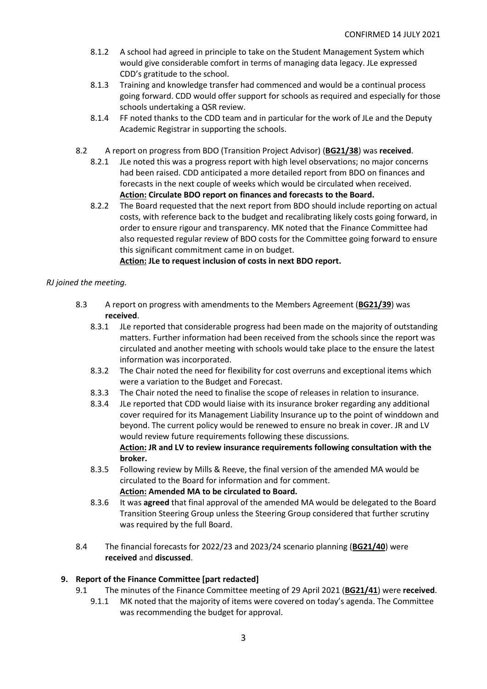- 8.1.2 A school had agreed in principle to take on the Student Management System which would give considerable comfort in terms of managing data legacy. JLe expressed CDD's gratitude to the school.
- 8.1.3 Training and knowledge transfer had commenced and would be a continual process going forward. CDD would offer support for schools as required and especially for those schools undertaking a QSR review.
- 8.1.4 FF noted thanks to the CDD team and in particular for the work of JLe and the Deputy Academic Registrar in supporting the schools.
- 8.2 A report on progress from BDO (Transition Project Advisor) (**BG21/38**) was **received**.
	- 8.2.1 JLe noted this was a progress report with high level observations; no major concerns had been raised. CDD anticipated a more detailed report from BDO on finances and forecasts in the next couple of weeks which would be circulated when received. **Action: Circulate BDO report on finances and forecasts to the Board.**
	- 8.2.2 The Board requested that the next report from BDO should include reporting on actual costs, with reference back to the budget and recalibrating likely costs going forward, in order to ensure rigour and transparency. MK noted that the Finance Committee had also requested regular review of BDO costs for the Committee going forward to ensure this significant commitment came in on budget.

# **Action: JLe to request inclusion of costs in next BDO report.**

# *RJ joined the meeting.*

- 8.3 A report on progress with amendments to the Members Agreement (**BG21/39**) was **received**.
	- 8.3.1 JLe reported that considerable progress had been made on the majority of outstanding matters. Further information had been received from the schools since the report was circulated and another meeting with schools would take place to the ensure the latest information was incorporated.
	- 8.3.2 The Chair noted the need for flexibility for cost overruns and exceptional items which were a variation to the Budget and Forecast.
	- 8.3.3 The Chair noted the need to finalise the scope of releases in relation to insurance.
	- 8.3.4 JLe reported that CDD would liaise with its insurance broker regarding any additional cover required for its Management Liability Insurance up to the point of winddown and beyond. The current policy would be renewed to ensure no break in cover. JR and LV would review future requirements following these discussions. **Action: JR and LV to review insurance requirements following consultation with the broker.**
	- 8.3.5 Following review by Mills & Reeve, the final version of the amended MA would be circulated to the Board for information and for comment. **Action: Amended MA to be circulated to Board.**
	- 8.3.6 It was **agreed** that final approval of the amended MA would be delegated to the Board Transition Steering Group unless the Steering Group considered that further scrutiny was required by the full Board.
- 8.4 The financial forecasts for 2022/23 and 2023/24 scenario planning (**BG21/40**) were **received** and **discussed**.

### **9. Report of the Finance Committee [part redacted]**

- 9.1 The minutes of the Finance Committee meeting of 29 April 2021 (**BG21/41**) were **received**.
	- 9.1.1 MK noted that the majority of items were covered on today's agenda. The Committee was recommending the budget for approval.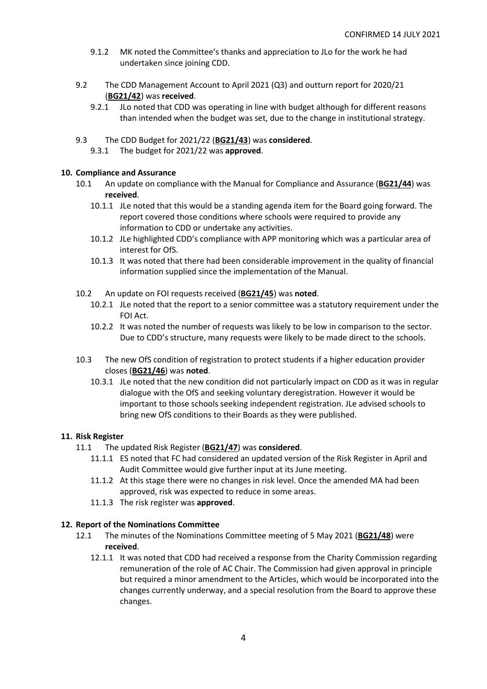- 9.1.2 MK noted the Committee's thanks and appreciation to JLo for the work he had undertaken since joining CDD.
- 9.2 The CDD Management Account to April 2021 (Q3) and outturn report for 2020/21 (**BG21/42**) was **received**.
	- 9.2.1 JLo noted that CDD was operating in line with budget although for different reasons than intended when the budget was set, due to the change in institutional strategy.
- 9.3 The CDD Budget for 2021/22 (**BG21/43**) was **considered**.
	- 9.3.1 The budget for 2021/22 was **approved**.

# **10. Compliance and Assurance**

- 10.1 An update on compliance with the Manual for Compliance and Assurance (**BG21/44**) was **received**.
	- 10.1.1 JLe noted that this would be a standing agenda item for the Board going forward. The report covered those conditions where schools were required to provide any information to CDD or undertake any activities.
	- 10.1.2 JLe highlighted CDD's compliance with APP monitoring which was a particular area of interest for OfS.
	- 10.1.3 It was noted that there had been considerable improvement in the quality of financial information supplied since the implementation of the Manual.
- 10.2 An update on FOI requests received (**BG21/45**) was **noted**.
	- 10.2.1 JLe noted that the report to a senior committee was a statutory requirement under the FOI Act.
	- 10.2.2 It was noted the number of requests was likely to be low in comparison to the sector. Due to CDD's structure, many requests were likely to be made direct to the schools.
- 10.3 The new OfS condition of registration to protect students if a higher education provider closes (**BG21/46**) was **noted**.
	- 10.3.1 JLe noted that the new condition did not particularly impact on CDD as it was in regular dialogue with the OfS and seeking voluntary deregistration. However it would be important to those schools seeking independent registration. JLe advised schools to bring new OfS conditions to their Boards as they were published.

# **11. Risk Register**

- 11.1 The updated Risk Register (**BG21/47**) was **considered**.
	- 11.1.1 ES noted that FC had considered an updated version of the Risk Register in April and Audit Committee would give further input at its June meeting.
	- 11.1.2 At this stage there were no changes in risk level. Once the amended MA had been approved, risk was expected to reduce in some areas.
	- 11.1.3 The risk register was **approved**.

# **12. Report of the Nominations Committee**

- 12.1 The minutes of the Nominations Committee meeting of 5 May 2021 (**BG21/48**) were **received**.
	- 12.1.1 It was noted that CDD had received a response from the Charity Commission regarding remuneration of the role of AC Chair. The Commission had given approval in principle but required a minor amendment to the Articles, which would be incorporated into the changes currently underway, and a special resolution from the Board to approve these changes.